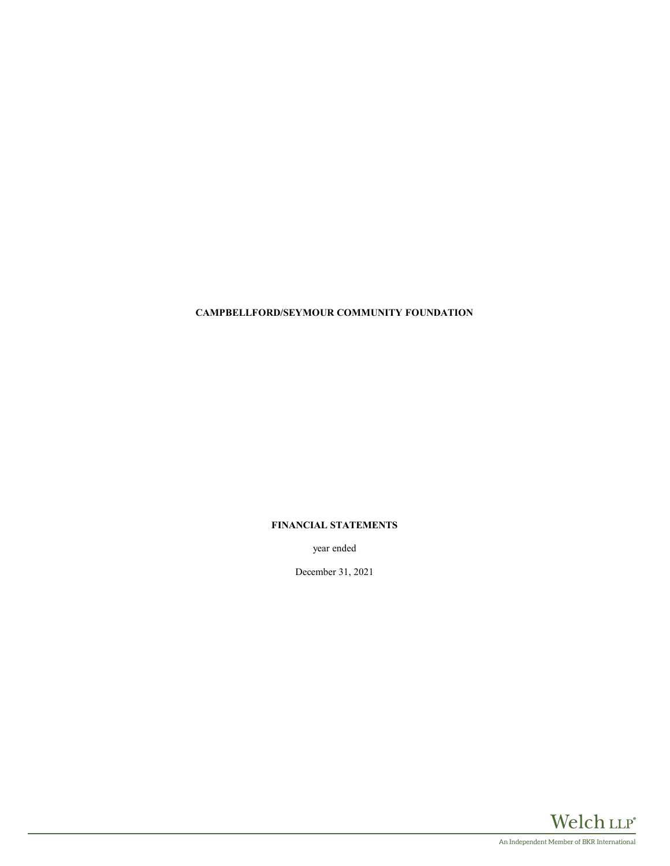# **FINANCIAL STATEMENTS**

year ended

December 31, 2021



An Independent Member of BKR International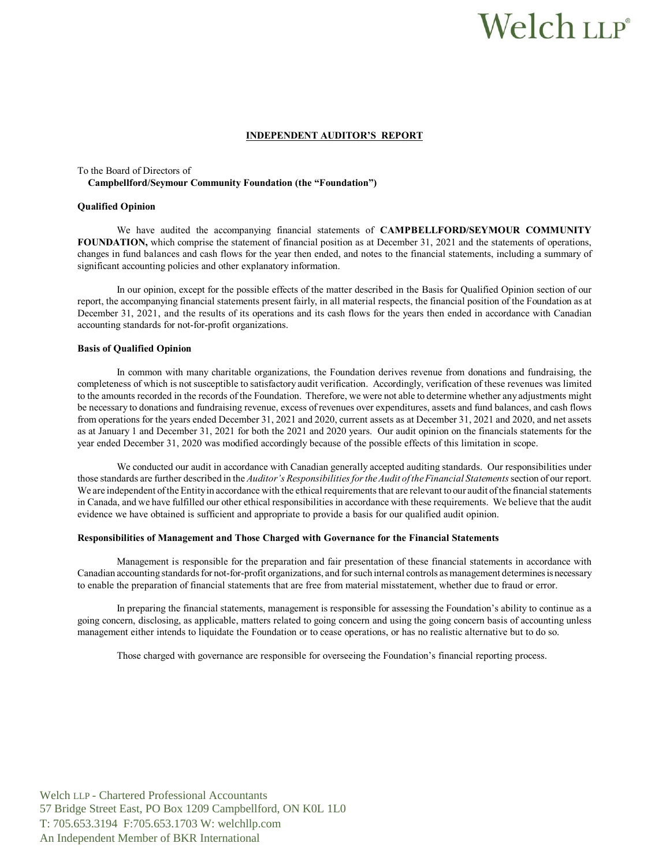# Welch LLP®

#### **INDEPENDENT AUDITOR'S REPORT**

To the Board of Directors of **Campbellford/Seymour Community Foundation (the "Foundation")**

#### **Qualified Opinion**

We have audited the accompanying financial statements of **CAMPBELLFORD/SEYMOUR COMMUNITY FOUNDATION,** which comprise the statement of financial position as at December 31, 2021 and the statements of operations, changes in fund balances and cash flows for the year then ended, and notes to the financial statements, including a summary of significant accounting policies and other explanatory information.

In our opinion, except for the possible effects of the matter described in the Basis for Qualified Opinion section of our report, the accompanying financial statements present fairly, in all material respects, the financial position of the Foundation as at December 31, 2021, and the results of its operations and its cash flows for the years then ended in accordance with Canadian accounting standards for not-for-profit organizations.

## **Basis of Qualified Opinion**

In common with many charitable organizations, the Foundation derives revenue from donations and fundraising, the completeness of which is not susceptible to satisfactory audit verification. Accordingly, verification of these revenues was limited to the amounts recorded in the records of the Foundation. Therefore, we were not able to determine whether any adjustments might be necessary to donations and fundraising revenue, excess of revenues over expenditures, assets and fund balances, and cash flows from operations for the years ended December 31, 2021 and 2020, current assets as at December 31, 2021 and 2020, and net assets as at January 1 and December 31, 2021 for both the 2021 and 2020 years. Our audit opinion on the financials statements for the year ended December 31, 2020 was modified accordingly because of the possible effects of this limitation in scope.

We conducted our audit in accordance with Canadian generally accepted auditing standards. Our responsibilities under those standards are further described in the *Auditor's Responsibilities for the Audit of the Financial Statements* section of our report. We are independent of the Entity in accordance with the ethical requirements that are relevant to our audit of the financial statements in Canada, and we have fulfilled our other ethical responsibilities in accordance with these requirements. We believe that the audit evidence we have obtained is sufficient and appropriate to provide a basis for our qualified audit opinion.

### **Responsibilities of Management and Those Charged with Governance for the Financial Statements**

Management is responsible for the preparation and fair presentation of these financial statements in accordance with Canadian accounting standards for not-for-profit organizations, and for such internal controls as management determines is necessary to enable the preparation of financial statements that are free from material misstatement, whether due to fraud or error.

In preparing the financial statements, management is responsible for assessing the Foundation's ability to continue as a going concern, disclosing, as applicable, matters related to going concern and using the going concern basis of accounting unless management either intends to liquidate the Foundation or to cease operations, or has no realistic alternative but to do so.

Those charged with governance are responsible for overseeing the Foundation's financial reporting process.

Welch LLP - Chartered Professional Accountants 57 Bridge Street East, PO Box 1209 Campbellford, ON K0L 1L0 T: 705.653.3194 F:705.653.1703 W: welchllp.com An Independent Member of BKR International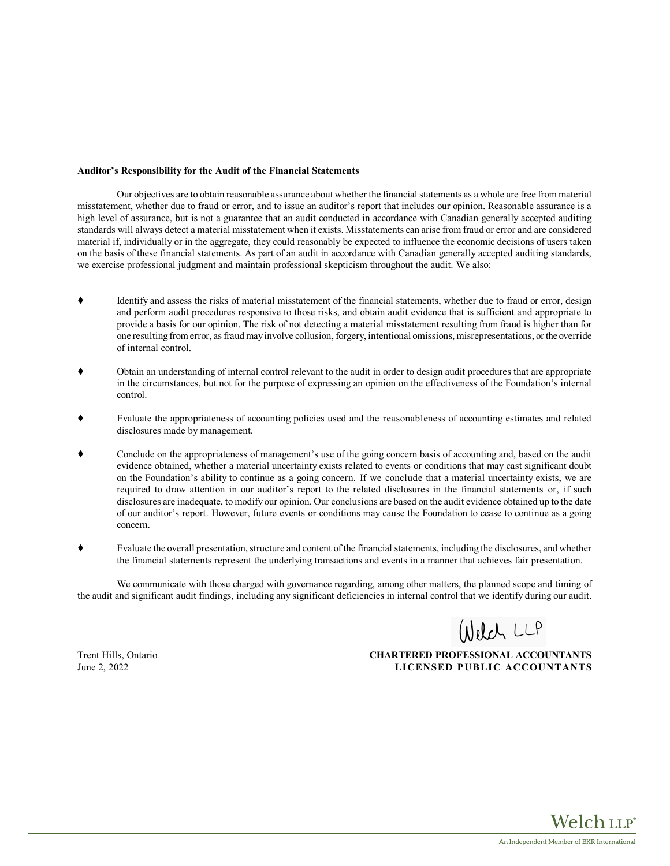#### **Auditor's Responsibility for the Audit of the Financial Statements**

Our objectives are to obtain reasonable assurance about whether the financial statements as a whole are free from material misstatement, whether due to fraud or error, and to issue an auditor's report that includes our opinion. Reasonable assurance is a high level of assurance, but is not a guarantee that an audit conducted in accordance with Canadian generally accepted auditing standards will always detect a material misstatement when it exists. Misstatements can arise from fraud or error and are considered material if, individually or in the aggregate, they could reasonably be expected to influence the economic decisions of users taken on the basis of these financial statements. As part of an audit in accordance with Canadian generally accepted auditing standards, we exercise professional judgment and maintain professional skepticism throughout the audit. We also:

- Identify and assess the risks of material misstatement of the financial statements, whether due to fraud or error, design and perform audit procedures responsive to those risks, and obtain audit evidence that is sufficient and appropriate to provide a basis for our opinion. The risk of not detecting a material misstatement resulting from fraud is higher than for one resulting from error, as fraud may involve collusion, forgery, intentional omissions, misrepresentations, or the override of internal control.
- Obtain an understanding of internal control relevant to the audit in order to design audit procedures that are appropriate in the circumstances, but not for the purpose of expressing an opinion on the effectiveness of the Foundation's internal control.
- Evaluate the appropriateness of accounting policies used and the reasonableness of accounting estimates and related disclosures made by management.
- Conclude on the appropriateness of management's use of the going concern basis of accounting and, based on the audit evidence obtained, whether a material uncertainty exists related to events or conditions that may cast significant doubt on the Foundation's ability to continue as a going concern. If we conclude that a material uncertainty exists, we are required to draw attention in our auditor's report to the related disclosures in the financial statements or, if such disclosures are inadequate, to modify our opinion. Our conclusions are based on the audit evidence obtained up to the date of our auditor's report. However, future events or conditions may cause the Foundation to cease to continue as a going concern.
- Evaluate the overall presentation, structure and content of the financial statements, including the disclosures, and whether the financial statements represent the underlying transactions and events in a manner that achieves fair presentation.

We communicate with those charged with governance regarding, among other matters, the planned scope and timing of the audit and significant audit findings, including any significant deficiencies in internal control that we identify during our audit.

Welch LLP

Trent Hills, Ontario **CHARTERED PROFESSIONAL ACCOUNTANTS** June 2, 2022 **LICENSED PUBLIC ACCOUNTANTS**

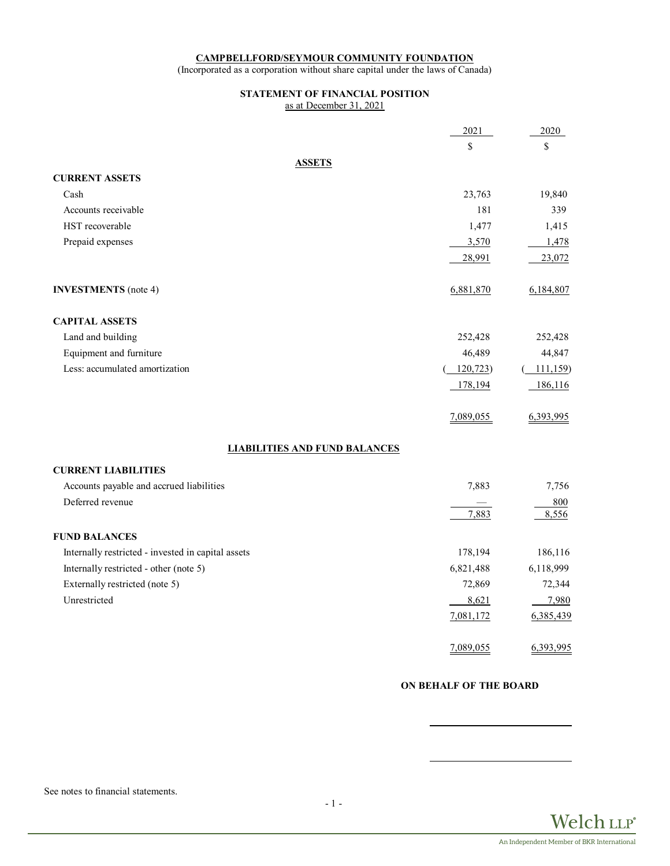(Incorporated as a corporation without share capital under the laws of Canada)

## **STATEMENT OF FINANCIAL POSITION** as at December 31, 2021

|                                                    | 2021      | 2020      |
|----------------------------------------------------|-----------|-----------|
|                                                    | \$        | \$        |
| <b>ASSETS</b>                                      |           |           |
| <b>CURRENT ASSETS</b>                              |           |           |
| Cash                                               | 23,763    | 19,840    |
| Accounts receivable                                | 181       | 339       |
| HST recoverable                                    | 1,477     | 1,415     |
| Prepaid expenses                                   | 3,570     | 1,478     |
|                                                    | 28,991    | 23,072    |
| <b>INVESTMENTS</b> (note 4)                        | 6,881,870 | 6,184,807 |
| <b>CAPITAL ASSETS</b>                              |           |           |
| Land and building                                  | 252,428   | 252,428   |
| Equipment and furniture                            | 46,489    | 44,847    |
| Less: accumulated amortization                     | 120,723   | 111, 159  |
|                                                    | 178,194   | 186,116   |
|                                                    | 7,089,055 | 6,393,995 |
| <b>LIABILITIES AND FUND BALANCES</b>               |           |           |
| <b>CURRENT LIABILITIES</b>                         |           |           |
| Accounts payable and accrued liabilities           | 7,883     | 7,756     |
| Deferred revenue                                   |           | 800       |
|                                                    | 7,883     | 8,556     |
| <b>FUND BALANCES</b>                               |           |           |
| Internally restricted - invested in capital assets | 178,194   | 186,116   |
| Internally restricted - other (note 5)             | 6,821,488 | 6,118,999 |
| Externally restricted (note 5)                     | 72,869    | 72,344    |
| Unrestricted                                       | 8,621     | 7,980     |
|                                                    | 7,081,172 | 6,385,439 |
|                                                    | 7,089,055 | 6,393,995 |

# **ON BEHALF OF THE BOARD**

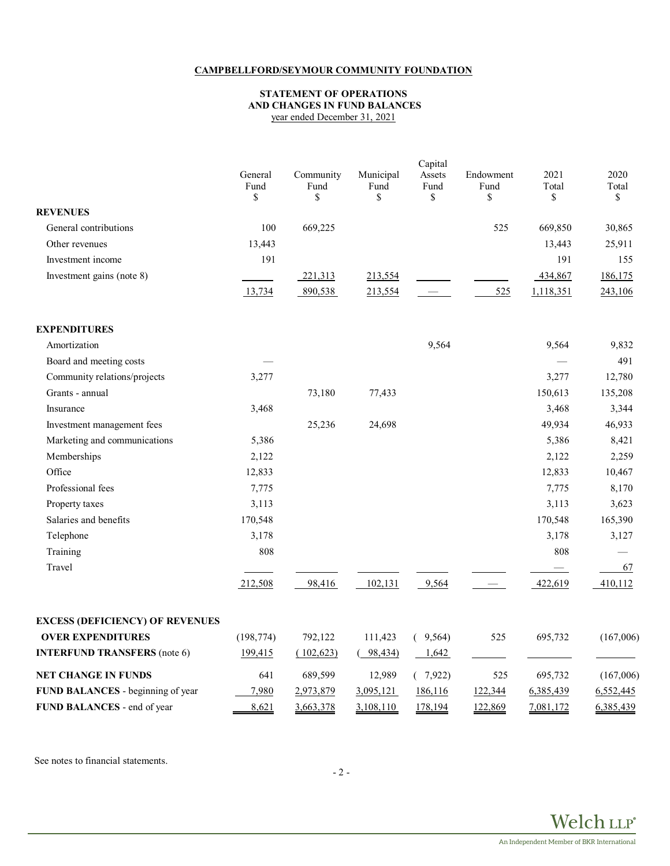## **STATEMENT OF OPERATIONS AND CHANGES IN FUND BALANCES** year ended December 31, 2021

|                                        | General<br>Fund<br>\$ | Community<br>Fund<br>\$ | Municipal<br>Fund<br>\$ | Capital<br>Assets<br>Fund<br>\$ | Endowment<br>Fund<br>\$         | 2021<br>Total<br>\$      | 2020<br>Total<br>\$ |
|----------------------------------------|-----------------------|-------------------------|-------------------------|---------------------------------|---------------------------------|--------------------------|---------------------|
| <b>REVENUES</b>                        |                       |                         |                         |                                 |                                 |                          |                     |
| General contributions                  | 100                   | 669,225                 |                         |                                 | 525                             | 669,850                  | 30,865              |
| Other revenues                         | 13,443                |                         |                         |                                 |                                 | 13,443                   | 25,911              |
| Investment income                      | 191                   |                         |                         |                                 |                                 | 191                      | 155                 |
| Investment gains (note 8)              |                       | 221,313                 | 213,554                 |                                 |                                 | 434,867                  | 186,175             |
|                                        | 13,734                | 890,538                 | 213,554                 |                                 | 525                             | 1,118,351                | 243,106             |
| <b>EXPENDITURES</b>                    |                       |                         |                         |                                 |                                 |                          |                     |
| Amortization                           |                       |                         |                         | 9,564                           |                                 | 9,564                    | 9,832               |
| Board and meeting costs                |                       |                         |                         |                                 |                                 |                          | 491                 |
| Community relations/projects           | 3,277                 |                         |                         |                                 |                                 | 3,277                    | 12,780              |
| Grants - annual                        |                       | 73,180                  | 77,433                  |                                 |                                 | 150,613                  | 135,208             |
| Insurance                              | 3,468                 |                         |                         |                                 |                                 | 3,468                    | 3,344               |
| Investment management fees             |                       | 25,236                  | 24,698                  |                                 |                                 | 49,934                   | 46,933              |
| Marketing and communications           | 5,386                 |                         |                         |                                 |                                 | 5,386                    | 8,421               |
| Memberships                            | 2,122                 |                         |                         |                                 |                                 | 2,122                    | 2,259               |
| Office                                 | 12,833                |                         |                         |                                 |                                 | 12,833                   | 10,467              |
| Professional fees                      | 7,775                 |                         |                         |                                 |                                 | 7,775                    | 8,170               |
| Property taxes                         | 3,113                 |                         |                         |                                 |                                 | 3,113                    | 3,623               |
| Salaries and benefits                  | 170,548               |                         |                         |                                 |                                 | 170,548                  | 165,390             |
| Telephone                              | 3,178                 |                         |                         |                                 |                                 | 3,178                    | 3,127               |
| Training                               | 808                   |                         |                         |                                 |                                 | 808                      |                     |
| Travel                                 |                       |                         |                         |                                 |                                 | $\overline{\phantom{0}}$ | 67                  |
|                                        | 212,508               | 98,416                  | 102,131                 | 9,564                           | $\hspace{0.1mm}-\hspace{0.1mm}$ | 422,619                  | 410,112             |
| <b>EXCESS (DEFICIENCY) OF REVENUES</b> |                       |                         |                         |                                 |                                 |                          |                     |
| <b>OVER EXPENDITURES</b>               | (198, 774)            | 792,122                 | 111,423                 | (9, 564)                        | 525                             | 695,732                  | (167,006)           |
| <b>INTERFUND TRANSFERS</b> (note 6)    | <u>199,415</u>        | (102, 623)              | 98,434)                 | 1,642                           |                                 |                          |                     |
| <b>NET CHANGE IN FUNDS</b>             | 641                   | 689,599                 | 12,989                  | (7,922)                         | 525                             | 695,732                  | (167,006)           |
| FUND BALANCES - beginning of year      | 7,980                 | 2,973,879               | 3,095,121               | 186,116                         | 122,344                         | 6,385,439                | 6,552,445           |
| FUND BALANCES - end of year            | 8,621                 | 3,663,378               | 3,108,110               | 178,194                         | 122,869                         | 7,081,172                | 6,385,439           |

See notes to financial statements.

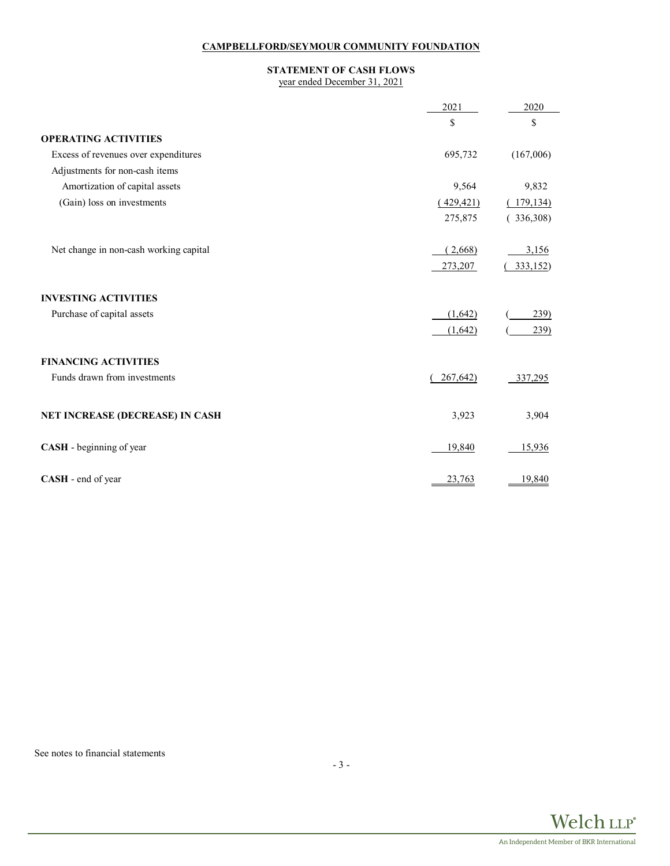## **STATEMENT OF CASH FLOWS** year ended December 31, 2021

|                                        | 2021       | 2020       |
|----------------------------------------|------------|------------|
|                                        | \$         | \$         |
| <b>OPERATING ACTIVITIES</b>            |            |            |
| Excess of revenues over expenditures   | 695,732    | (167,006)  |
| Adjustments for non-cash items         |            |            |
| Amortization of capital assets         | 9,564      | 9,832      |
| (Gain) loss on investments             | (429, 421) | (179, 134) |
|                                        | 275,875    | (336,308)  |
| Net change in non-cash working capital | 2,668)     | 3,156      |
|                                        | 273,207    | 333,152)   |
| <b>INVESTING ACTIVITIES</b>            |            |            |
| Purchase of capital assets             | (1,642)    | 239)       |
|                                        | (1,642)    | 239)       |
| <b>FINANCING ACTIVITIES</b>            |            |            |
| Funds drawn from investments           | 267,642)   | 337,295    |
| NET INCREASE (DECREASE) IN CASH        | 3,923      | 3,904      |
| CASH - beginning of year               | 19,840     | 15,936     |
| CASH - end of year                     | 23,763     | 19,840     |

See notes to financial statements

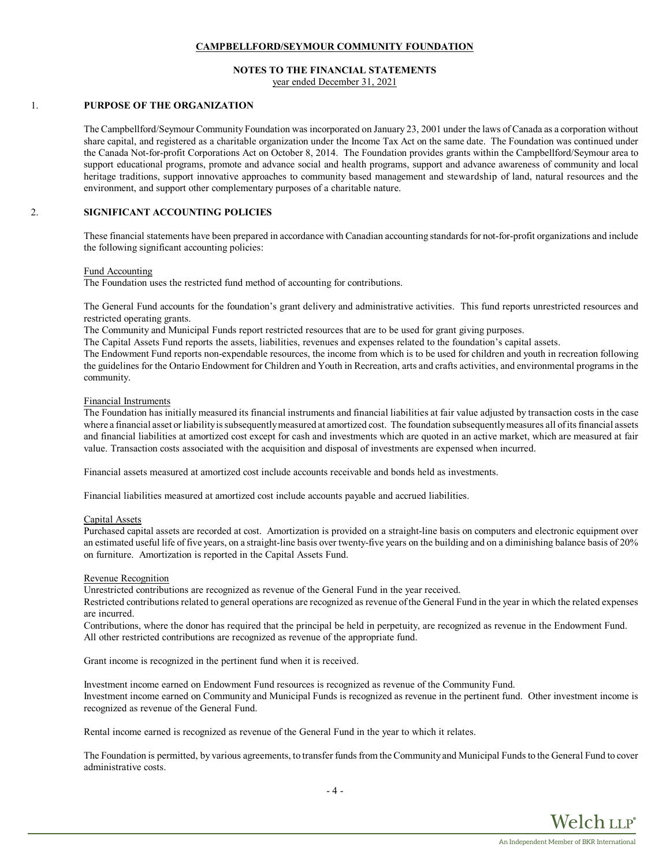## **NOTES TO THE FINANCIAL STATEMENTS** year ended December 31, 2021

# 1. **PURPOSE OF THE ORGANIZATION**

The Campbellford/Seymour Community Foundation was incorporated on January 23, 2001 under the laws of Canada as a corporation without share capital, and registered as a charitable organization under the Income Tax Act on the same date. The Foundation was continued under the Canada Not-for-profit Corporations Act on October 8, 2014. The Foundation provides grants within the Campbellford/Seymour area to support educational programs, promote and advance social and health programs, support and advance awareness of community and local heritage traditions, support innovative approaches to community based management and stewardship of land, natural resources and the environment, and support other complementary purposes of a charitable nature.

## 2. **SIGNIFICANT ACCOUNTING POLICIES**

These financial statements have been prepared in accordance with Canadian accounting standards for not-for-profit organizations and include the following significant accounting policies:

## Fund Accounting

The Foundation uses the restricted fund method of accounting for contributions.

The General Fund accounts for the foundation's grant delivery and administrative activities. This fund reports unrestricted resources and restricted operating grants.

The Community and Municipal Funds report restricted resources that are to be used for grant giving purposes.

The Capital Assets Fund reports the assets, liabilities, revenues and expenses related to the foundation's capital assets.

The Endowment Fund reports non-expendable resources, the income from which is to be used for children and youth in recreation following the guidelines for the Ontario Endowment for Children and Youth in Recreation, arts and crafts activities, and environmental programs in the community.

## Financial Instruments

The Foundation has initially measured its financial instruments and financial liabilities at fair value adjusted by transaction costs in the case where a financial asset or liability is subsequently measured at amortized cost. The foundation subsequently measures all of its financial assets and financial liabilities at amortized cost except for cash and investments which are quoted in an active market, which are measured at fair value. Transaction costs associated with the acquisition and disposal of investments are expensed when incurred.

Financial assets measured at amortized cost include accounts receivable and bonds held as investments.

Financial liabilities measured at amortized cost include accounts payable and accrued liabilities.

## Capital Assets

Purchased capital assets are recorded at cost. Amortization is provided on a straight-line basis on computers and electronic equipment over an estimated useful life of five years, on a straight-line basis over twenty-five years on the building and on a diminishing balance basis of 20% on furniture. Amortization is reported in the Capital Assets Fund.

## Revenue Recognition

Unrestricted contributions are recognized as revenue of the General Fund in the year received.

Restricted contributions related to general operations are recognized as revenue of the General Fund in the year in which the related expenses are incurred.

Contributions, where the donor has required that the principal be held in perpetuity, are recognized as revenue in the Endowment Fund. All other restricted contributions are recognized as revenue of the appropriate fund.

Grant income is recognized in the pertinent fund when it is received.

Investment income earned on Endowment Fund resources is recognized as revenue of the Community Fund.

Investment income earned on Community and Municipal Funds is recognized as revenue in the pertinent fund. Other investment income is recognized as revenue of the General Fund.

Rental income earned is recognized as revenue of the General Fund in the year to which it relates.

The Foundation is permitted, by various agreements, to transfer funds from the Community and Municipal Funds to the General Fund to cover administrative costs.

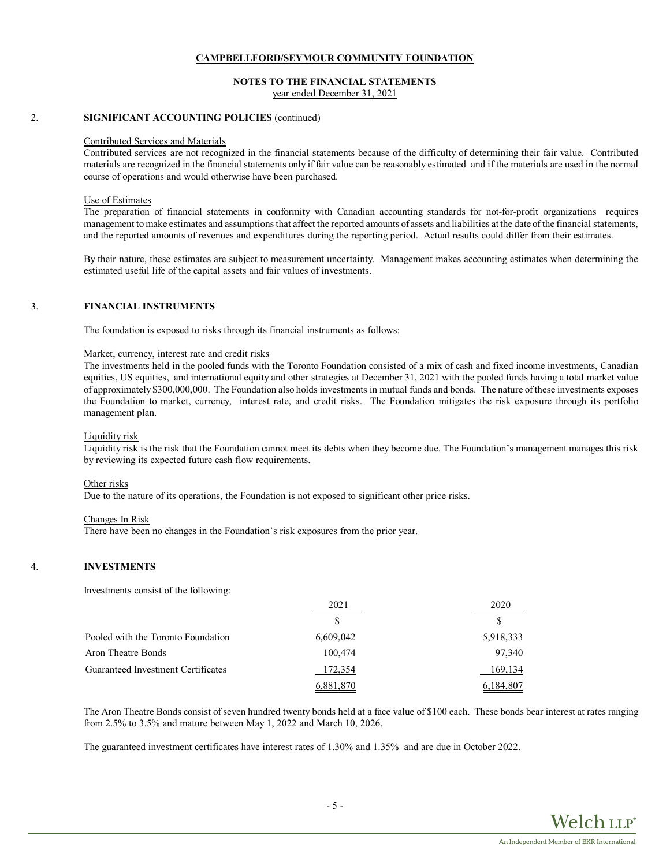### **NOTES TO THE FINANCIAL STATEMENTS** year ended December 31, 2021

## 2. **SIGNIFICANT ACCOUNTING POLICIES** (continued)

#### Contributed Services and Materials

Contributed services are not recognized in the financial statements because of the difficulty of determining their fair value. Contributed materials are recognized in the financial statements only if fair value can be reasonably estimated and if the materials are used in the normal course of operations and would otherwise have been purchased.

### Use of Estimates

The preparation of financial statements in conformity with Canadian accounting standards for not-for-profit organizations requires management to make estimates and assumptions that affect the reported amounts of assets and liabilities at the date of the financial statements, and the reported amounts of revenues and expenditures during the reporting period. Actual results could differ from their estimates.

By their nature, these estimates are subject to measurement uncertainty. Management makes accounting estimates when determining the estimated useful life of the capital assets and fair values of investments.

## 3. **FINANCIAL INSTRUMENTS**

The foundation is exposed to risks through its financial instruments as follows:

## Market, currency, interest rate and credit risks

The investments held in the pooled funds with the Toronto Foundation consisted of a mix of cash and fixed income investments, Canadian equities, US equities, and international equity and other strategies at December 31, 2021 with the pooled funds having a total market value of approximately \$300,000,000. The Foundation also holds investments in mutual funds and bonds. The nature of these investments exposes the Foundation to market, currency, interest rate, and credit risks. The Foundation mitigates the risk exposure through its portfolio management plan.

#### Liquidity risk

Liquidity risk is the risk that the Foundation cannot meet its debts when they become due. The Foundation's management manages this risk by reviewing its expected future cash flow requirements.

#### Other risks

Due to the nature of its operations, the Foundation is not exposed to significant other price risks.

#### Changes In Risk

There have been no changes in the Foundation's risk exposures from the prior year.

# 4. **INVESTMENTS**

Investments consist of the following:

|                                    | 2020<br>2021 |           |
|------------------------------------|--------------|-----------|
|                                    | S            | S         |
| Pooled with the Toronto Foundation | 6,609,042    | 5,918,333 |
| Aron Theatre Bonds                 | 100,474      | 97.340    |
| Guaranteed Investment Certificates | 172,354      | 169,134   |
|                                    | 6.881.870    | 6,184,807 |

The Aron Theatre Bonds consist of seven hundred twenty bonds held at a face value of \$100 each. These bonds bear interest at rates ranging from 2.5% to 3.5% and mature between May 1, 2022 and March 10, 2026.

The guaranteed investment certificates have interest rates of 1.30% and 1.35% and are due in October 2022.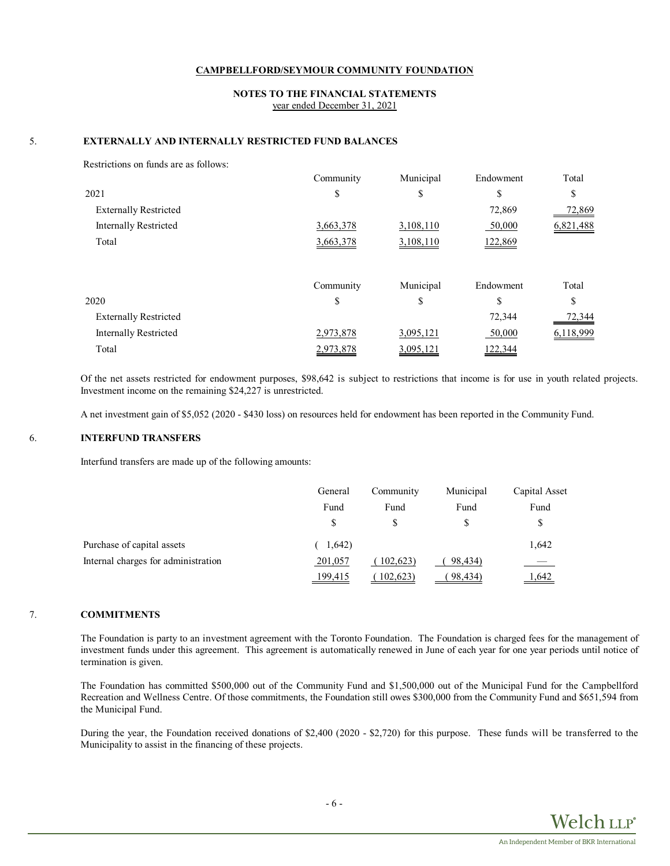## **NOTES TO THE FINANCIAL STATEMENTS** year ended December 31, 2021

# 5. **EXTERNALLY AND INTERNALLY RESTRICTED FUND BALANCES**

Restrictions on funds are as follows:

|                              | Community | Municipal | Endowment | Total     |
|------------------------------|-----------|-----------|-----------|-----------|
| 2021                         | \$        | S         | S         |           |
| <b>Externally Restricted</b> |           |           | 72,869    | 72,869    |
| <b>Internally Restricted</b> | 3,663,378 | 3,108,110 | 50,000    | 6,821,488 |
| Total                        | 3,663,378 | 3,108,110 | 122,869   |           |
|                              | Community | Municipal | Endowment | Total     |
| 2020                         | \$        | S         | \$        | S         |
| <b>Externally Restricted</b> |           |           | 72,344    | 72,344    |
| <b>Internally Restricted</b> | 2,973,878 | 3,095,121 | 50,000    | 6,118,999 |
| Total                        | 2,973,878 | 3,095,121 | 122,344   |           |

Of the net assets restricted for endowment purposes, \$98,642 is subject to restrictions that income is for use in youth related projects. Investment income on the remaining \$24,227 is unrestricted.

A net investment gain of \$5,052 (2020 - \$430 loss) on resources held for endowment has been reported in the Community Fund.

#### 6. **INTERFUND TRANSFERS**

Interfund transfers are made up of the following amounts:

|                                     | General | Community | Municipal | Capital Asset |
|-------------------------------------|---------|-----------|-----------|---------------|
|                                     | Fund    | Fund      | Fund      | Fund          |
|                                     |         | S         |           | \$            |
| Purchase of capital assets          | 1,642)  |           |           | 1,642         |
| Internal charges for administration | 201,057 | 102,623   | 98.434)   |               |
|                                     | 199,415 | 102,623   | 98,434)   | 1,642         |

#### 7. **COMMITMENTS**

The Foundation is party to an investment agreement with the Toronto Foundation. The Foundation is charged fees for the management of investment funds under this agreement. This agreement is automatically renewed in June of each year for one year periods until notice of termination is given.

The Foundation has committed \$500,000 out of the Community Fund and \$1,500,000 out of the Municipal Fund for the Campbellford Recreation and Wellness Centre. Of those commitments, the Foundation still owes \$300,000 from the Community Fund and \$651,594 from the Municipal Fund.

During the year, the Foundation received donations of \$2,400 (2020 - \$2,720) for this purpose. These funds will be transferred to the Municipality to assist in the financing of these projects.